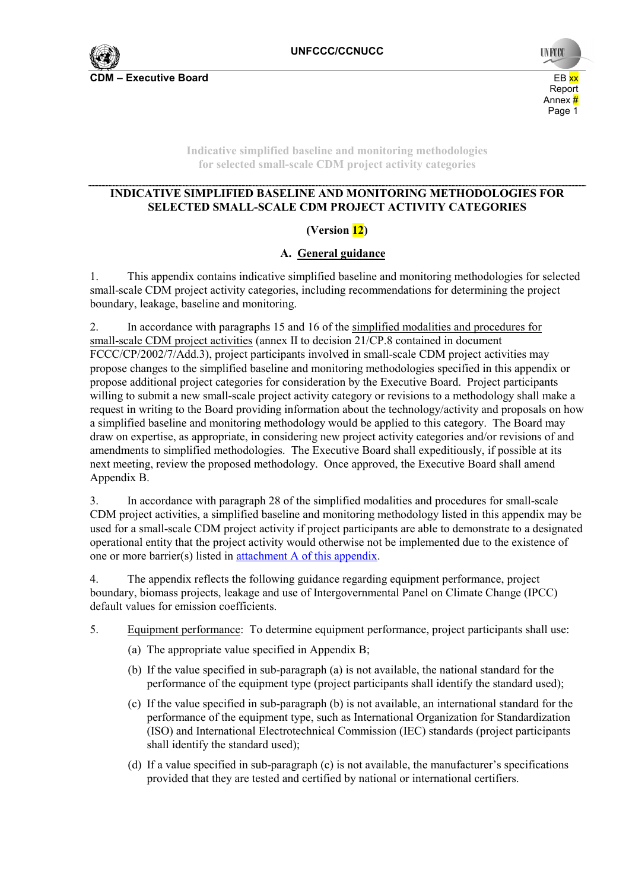

**Indicative simplified baseline and monitoring methodologies for selected small-scale CDM project activity categories** 

## **INDICATIVE SIMPLIFIED BASELINE AND MONITORING METHODOLOGIES FOR SELECTED SMALL-SCALE CDM PROJECT ACTIVITY CATEGORIES**

## **(Version 12)**

## **A. General guidance**

1. This appendix contains indicative simplified baseline and monitoring methodologies for selected small-scale CDM project activity categories, including recommendations for determining the project boundary, leakage, baseline and monitoring.

2. In accordance with paragraphs 15 and 16 of the simplified modalities and procedures for small-scale CDM project activities (annex II to decision 21/CP.8 contained in document FCCC/CP/2002/7/Add.3), project participants involved in small-scale CDM project activities may propose changes to the simplified baseline and monitoring methodologies specified in this appendix or propose additional project categories for consideration by the Executive Board. Project participants willing to submit a new small-scale project activity category or revisions to a methodology shall make a request in writing to the Board providing information about the technology/activity and proposals on how a simplified baseline and monitoring methodology would be applied to this category. The Board may draw on expertise, as appropriate, in considering new project activity categories and/or revisions of and amendments to simplified methodologies. The Executive Board shall expeditiously, if possible at its next meeting, review the proposed methodology. Once approved, the Executive Board shall amend Appendix B.

3. In accordance with paragraph 28 of the simplified modalities and procedures for small-scale CDM project activities, a simplified baseline and monitoring methodology listed in this appendix may be used for a small-scale CDM project activity if project participants are able to demonstrate to a designated operational entity that the project activity would otherwise not be implemented due to the existence of one or more barrier(s) listed in attachment A of this appendix.

4. The appendix reflects the following guidance regarding equipment performance, project boundary, biomass projects, leakage and use of Intergovernmental Panel on Climate Change (IPCC) default values for emission coefficients.

- 5. Equipment performance: To determine equipment performance, project participants shall use:
	- (a) The appropriate value specified in Appendix B;
	- (b) If the value specified in sub-paragraph (a) is not available, the national standard for the performance of the equipment type (project participants shall identify the standard used);
	- (c) If the value specified in sub-paragraph (b) is not available, an international standard for the performance of the equipment type, such as International Organization for Standardization (ISO) and International Electrotechnical Commission (IEC) standards (project participants shall identify the standard used);
	- (d) If a value specified in sub-paragraph (c) is not available, the manufacturer's specifications provided that they are tested and certified by national or international certifiers.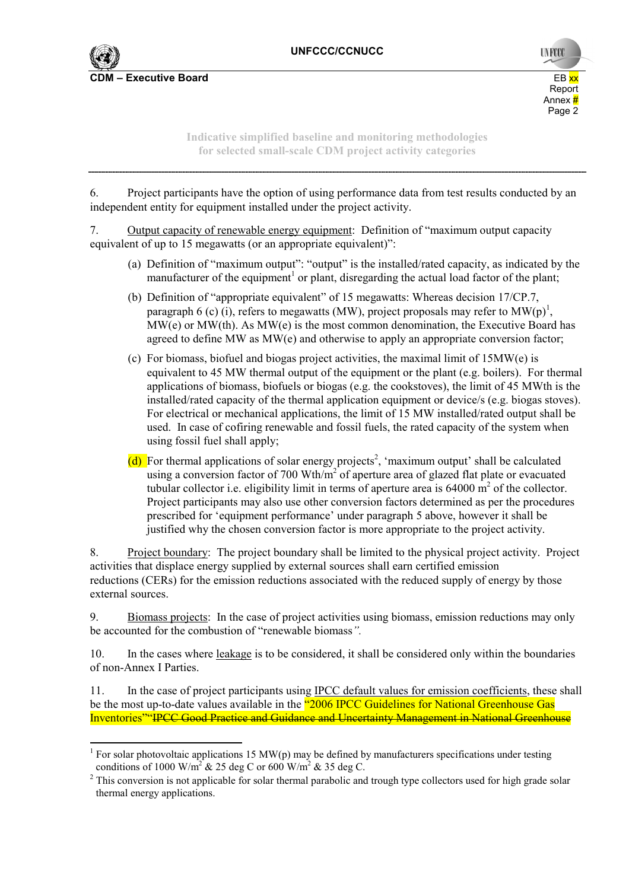

 $\overline{a}$ 

**UNFCC** report to the contract of the contract of the contract of the contract of the contract of the contract of the contract of the contract of the contract of the contract of the contract of the contract of the contract of the Annex <mark>#</mark> Annex # Annex # Annex # Annex # Annex **#** Page 2

> **Indicative simplified baseline and monitoring methodologies for selected small-scale CDM project activity categories**

6. Project participants have the option of using performance data from test results conducted by an independent entity for equipment installed under the project activity.

7. Output capacity of renewable energy equipment: Definition of "maximum output capacity equivalent of up to 15 megawatts (or an appropriate equivalent)":

- (a) Definition of "maximum output": "output" is the installed/rated capacity, as indicated by the manufacturer of the equipment<sup>1</sup> or plant, disregarding the actual load factor of the plant;
- (b) Definition of "appropriate equivalent" of 15 megawatts: Whereas decision 17/CP.7, paragraph 6 (c) (i), refers to megawatts (MW), project proposals may refer to  $MW(p)^{1}$ ,  $MW(e)$  or  $MW(th)$ . As  $MW(e)$  is the most common denomination, the Executive Board has agreed to define MW as MW(e) and otherwise to apply an appropriate conversion factor;
- (c) For biomass, biofuel and biogas project activities, the maximal limit of 15MW(e) is equivalent to 45 MW thermal output of the equipment or the plant (e.g. boilers). For thermal applications of biomass, biofuels or biogas (e.g. the cookstoves), the limit of 45 MWth is the installed/rated capacity of the thermal application equipment or device/s (e.g. biogas stoves). For electrical or mechanical applications, the limit of 15 MW installed/rated output shall be used. In case of cofiring renewable and fossil fuels, the rated capacity of the system when using fossil fuel shall apply;
- (d) For thermal applications of solar energy projects<sup>2</sup>, 'maximum output' shall be calculated using a conversion factor of 700 Wth/ $m<sup>2</sup>$  of aperture area of glazed flat plate or evacuated tubular collector i.e. eligibility limit in terms of aperture area is  $64000 \text{ m}^2$  of the collector. Project participants may also use other conversion factors determined as per the procedures prescribed for 'equipment performance' under paragraph 5 above, however it shall be justified why the chosen conversion factor is more appropriate to the project activity.

8. Project boundary: The project boundary shall be limited to the physical project activity. Project activities that displace energy supplied by external sources shall earn certified emission reductions (CERs) for the emission reductions associated with the reduced supply of energy by those external sources.

9. Biomass projects: In the case of project activities using biomass, emission reductions may only be accounted for the combustion of "renewable biomass*".*

10. In the cases where leakage is to be considered, it shall be considered only within the boundaries of non-Annex I Parties.

11. In the case of project participants using IPCC default values for emission coefficients, these shall be the most up-to-date values available in the "2006 IPCC Guidelines for National Greenhouse Gas Inventories""IPCC Good Practice and Guidance and Uncertainty Management in National Greenhouse

<sup>&</sup>lt;sup>1</sup> For solar photovoltaic applications 15 MW(p) may be defined by manufacturers specifications under testing conditions of 1000 W/m<sup>2</sup> & 25 deg C or 600 W/m<sup>2</sup> & 35 deg C.

 $2$  This conversion is not applicable for solar thermal parabolic and trough type collectors used for high grade solar thermal energy applications.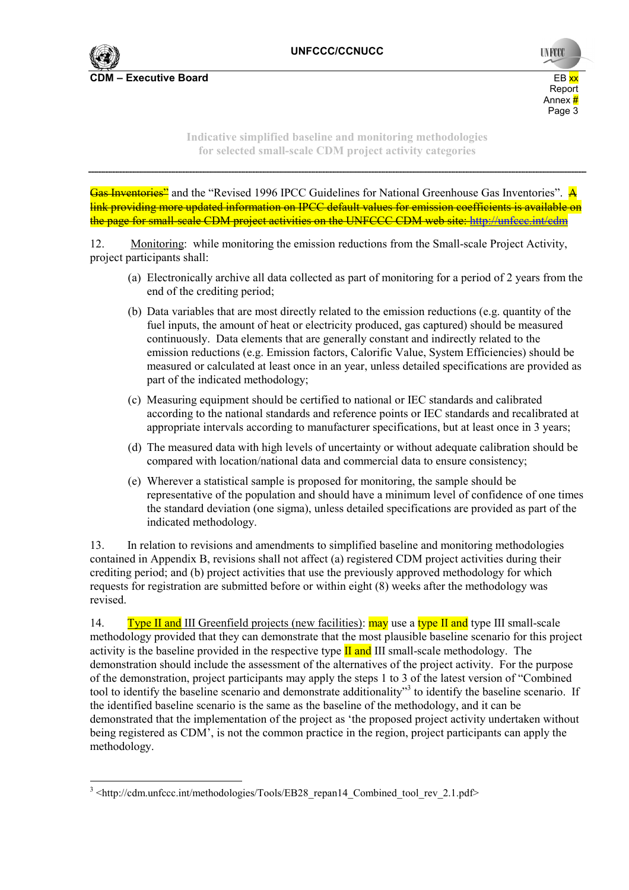

**UNFCC** report to the contract of the contract of the contract of the contract of the contract of the contract of the contract of the contract of the contract of the contract of the contract of the contract of the contract of the Annex <mark>#</mark> Annex # Annex # Annex # Annex # Annex **# Page 3 Page 3** 

> **Indicative simplified baseline and monitoring methodologies for selected small-scale CDM project activity categories**

Gas Inventories<sup>2</sup> and the "Revised 1996 IPCC Guidelines for National Greenhouse Gas Inventories". A link providing more updated information on IPCC default values for emission coefficients is available on the page for small-scale CDM project activities on the UNFCCC CDM web site: http://unfccc.int/cdm

12. Monitoring: while monitoring the emission reductions from the Small-scale Project Activity, project participants shall:

- (a) Electronically archive all data collected as part of monitoring for a period of 2 years from the end of the crediting period;
- (b) Data variables that are most directly related to the emission reductions (e.g. quantity of the fuel inputs, the amount of heat or electricity produced, gas captured) should be measured continuously. Data elements that are generally constant and indirectly related to the emission reductions (e.g. Emission factors, Calorific Value, System Efficiencies) should be measured or calculated at least once in an year, unless detailed specifications are provided as part of the indicated methodology;
- (c) Measuring equipment should be certified to national or IEC standards and calibrated according to the national standards and reference points or IEC standards and recalibrated at appropriate intervals according to manufacturer specifications, but at least once in 3 years;
- (d) The measured data with high levels of uncertainty or without adequate calibration should be compared with location/national data and commercial data to ensure consistency;
- (e) Wherever a statistical sample is proposed for monitoring, the sample should be representative of the population and should have a minimum level of confidence of one times the standard deviation (one sigma), unless detailed specifications are provided as part of the indicated methodology.

13. In relation to revisions and amendments to simplified baseline and monitoring methodologies contained in Appendix B, revisions shall not affect (a) registered CDM project activities during their crediting period; and (b) project activities that use the previously approved methodology for which requests for registration are submitted before or within eight (8) weeks after the methodology was revised.

14. **Type II and III** Greenfield projects (new facilities): **may** use a type II and type III small-scale methodology provided that they can demonstrate that the most plausible baseline scenario for this project activity is the baseline provided in the respective type  $\Pi$  and III small-scale methodology. The demonstration should include the assessment of the alternatives of the project activity. For the purpose of the demonstration, project participants may apply the steps 1 to 3 of the latest version of "Combined tool to identify the baseline scenario and demonstrate additionality"<sup>3</sup> to identify the baseline scenario. If the identified baseline scenario is the same as the baseline of the methodology, and it can be demonstrated that the implementation of the project as 'the proposed project activity undertaken without being registered as CDM', is not the common practice in the region, project participants can apply the methodology.

 <sup>3</sup> <http://cdm.unfccc.int/methodologies/Tools/EB28\_repan14\_Combined\_tool\_rev\_2.1.pdf>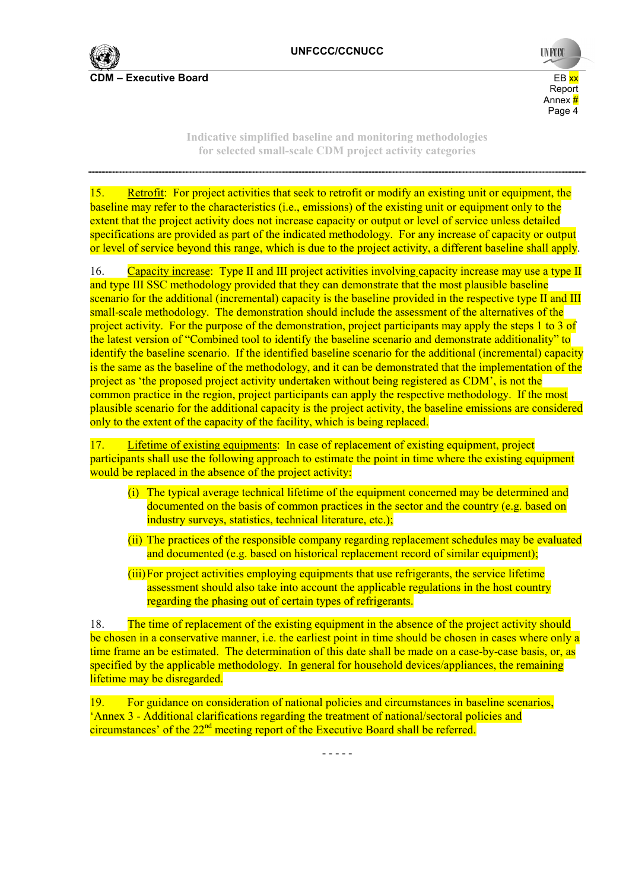

**UNFCCO** report to the contract of the contract of the contract of the contract of the contract of the contract of the contract of the contract of the contract of the contract of the contract of the contract of the contract of the Annex <mark>#</mark> Annex # Annex # Annex # Annex # Annex **#** Page 4

> **Indicative simplified baseline and monitoring methodologies for selected small-scale CDM project activity categories**

15. Retrofit: For project activities that seek to retrofit or modify an existing unit or equipment, the baseline may refer to the characteristics (i.e., emissions) of the existing unit or equipment only to the extent that the project activity does not increase capacity or output or level of service unless detailed specifications are provided as part of the indicated methodology. For any increase of capacity or output or level of service beyond this range, which is due to the project activity, a different baseline shall apply.

16. Capacity increase: Type II and III project activities involving capacity increase may use a type II and type III SSC methodology provided that they can demonstrate that the most plausible baseline scenario for the additional (incremental) capacity is the baseline provided in the respective type II and III small-scale methodology. The demonstration should include the assessment of the alternatives of the project activity. For the purpose of the demonstration, project participants may apply the steps 1 to 3 of the latest version of "Combined tool to identify the baseline scenario and demonstrate additionality" to identify the baseline scenario. If the identified baseline scenario for the additional (incremental) capacity is the same as the baseline of the methodology, and it can be demonstrated that the implementation of the project as 'the proposed project activity undertaken without being registered as CDM', is not the common practice in the region, project participants can apply the respective methodology. If the most plausible scenario for the additional capacity is the project activity, the baseline emissions are considered only to the extent of the capacity of the facility, which is being replaced.

17. Lifetime of existing equipments: In case of replacement of existing equipment, project participants shall use the following approach to estimate the point in time where the existing equipment would be replaced in the absence of the project activity:

- (i) The typical average technical lifetime of the equipment concerned may be determined and documented on the basis of common practices in the sector and the country (e.g. based on industry surveys, statistics, technical literature, etc.);
- (ii) The practices of the responsible company regarding replacement schedules may be evaluated and documented (e.g. based on historical replacement record of similar equipment);
- (iii) For project activities employing equipments that use refrigerants, the service lifetime assessment should also take into account the applicable regulations in the host country regarding the phasing out of certain types of refrigerants.

18. The time of replacement of the existing equipment in the absence of the project activity should be chosen in a conservative manner, i.e. the earliest point in time should be chosen in cases where only a time frame an be estimated. The determination of this date shall be made on a case-by-case basis, or, as specified by the applicable methodology. In general for household devices/appliances, the remaining lifetime may be disregarded.

19. For guidance on consideration of national policies and circumstances in baseline scenarios, 'Annex 3 - Additional clarifications regarding the treatment of national/sectoral policies and circumstances' of the  $22<sup>nd</sup>$  meeting report of the Executive Board shall be referred.

- - - - -